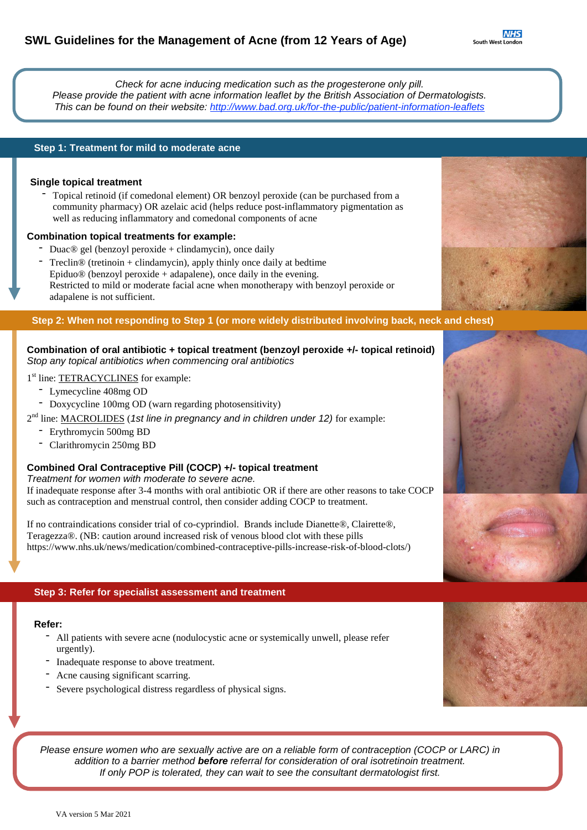**NI** South West Lon

*Check for acne inducing medication such as the progesterone only pill. Please provide the patient with acne information leaflet by the British Association of Dermatologists. This can be found on their website: <http://www.bad.org.uk/for-the-public/patient-information-leaflets>*

# **Step 1: Treatment for mild to moderate acne**

### **Single topical treatment**

- Topical retinoid (if comedonal element) OR benzoyl peroxide (can be purchased from a community pharmacy) OR azelaic acid (helps reduce post-inflammatory pigmentation as well as reducing inflammatory and comedonal components of acne

#### **Combination topical treatments for example:**

- Duac® gel (benzoyl peroxide + clindamycin), once daily
- $Treclin@$  (tretinoin + clindamycin), apply thinly once daily at bedtime Epiduo $\circledR$  (benzoyl peroxide + adapalene), once daily in the evening. Restricted to mild or moderate facial acne when monotherapy with benzoyl peroxide or adapalene is not sufficient.

### Step 2: When not responding to Step 1 (or more widely distributed involving back, neck and chest)

# **Combination of oral antibiotic + topical treatment (benzoyl peroxide +/- topical retinoid)** *Stop any topical antibiotics when commencing oral antibiotics*

# 1<sup>st</sup> line: **TETRACYCLINES** for example:

- Lymecycline 408mg OD
- Doxycycline 100mg OD (warn regarding photosensitivity)

2 nd line: MACROLIDES (*1st line in pregnancy and in children under 12)* for example:

- Erythromycin 500mg BD
- Clarithromycin 250mg BD

# **Combined Oral Contraceptive Pill (COCP) +/- topical treatment**

*Treatment for women with moderate to severe acne.*

If inadequate response after 3-4 months with oral antibiotic OR if there are other reasons to take COCP such as contraception and menstrual control, then consider adding COCP to treatment.

If no contraindications consider trial of co-cyprindiol. Brands include Dianette®, Clairette®, Teragezza®. (NB: caution around increased risk of venous blood clot with these pills https://www.nhs.uk/news/medication/combined-contraceptive-pills-increase-risk-of-blood-clots/)

# **Step 3: Refer for specialist assessment and treatment**

# **Refer:**

- All patients with severe acne (nodulocystic acne or systemically unwell, please refer urgently).
- Inadequate response to above treatment.
- Acne causing significant scarring.
- Severe psychological distress regardless of physical signs.

Please ensure women who are sexually active are on a reliable form of contraception (COCP or LARC) in *addition to a barrier method before referral for consideration of oral isotretinoin treatment. If only POP is tolerated, they can wait to see the consultant dermatologist first.*